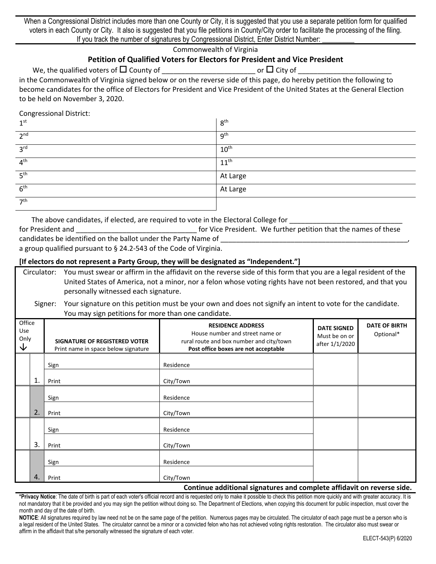When a Congressional District includes more than one County or City, it is suggested that you use a separate petition form for qualified voters in each County or City. It also is suggested that you file petitions in County/City order to facilitate the processing of the filing. If you track the number of signatures by Congressional District, Enter District Number:

Commonwealth of Virginia

# **Petition of Qualified Voters for Electors for President and Vice President**

We, the qualified voters of County of \_\_\_\_\_\_\_\_\_\_\_\_\_\_\_\_\_\_\_\_\_\_\_\_ or City of \_\_\_\_\_\_\_\_\_\_\_\_\_\_\_\_\_\_\_\_\_\_\_\_

in the Commonwealth of Virginia signed below or on the reverse side of this page, do hereby petition the following to become candidates for the office of Electors for President and Vice President of the United States at the General Election to be held on November 3, 2020.

Congressional District:

| 1 <sup>st</sup> | 8 <sup>th</sup>  |
|-----------------|------------------|
| 2 <sup>nd</sup> | 9 <sup>th</sup>  |
| 3 <sup>rd</sup> | 10 <sup>th</sup> |
| 4 <sup>th</sup> | $11^{\text{th}}$ |
| 5 <sup>th</sup> | At Large         |
| 6 <sup>th</sup> | At Large         |
| $\neg$ th       |                  |

The above candidates, if elected, are required to vote in the Electoral College for \_\_\_\_\_\_\_\_\_\_\_\_\_\_\_\_\_\_\_\_\_\_\_\_\_\_\_\_\_ for President and **the end of the set of the set of the set of the set of the set of the set of the names of these** candidates be identified on the ballot under the Party Name of

a group qualified pursuant to § 24.2-543 of the Code of Virginia.

### **[If electors do not represent a Party Group, they will be designated as "Independent."]**

| Circulator: |                                      |  |  | You must swear or affirm in the affidavit on the reverse side of this form that you are a legal resident of the |  |
|-------------|--------------------------------------|--|--|-----------------------------------------------------------------------------------------------------------------|--|
|             |                                      |  |  | United States of America, not a minor, nor a felon whose voting rights have not been restored, and that you     |  |
|             | personally witnessed each signature. |  |  |                                                                                                                 |  |

### Signer: Your signature on this petition must be your own and does not signify an intent to vote for the candidate. You may sign petitions for more than one candidate.

| Office<br>Use<br>Only<br>$\downarrow$ |    | SIGNATURE OF REGISTERED VOTER<br>Print name in space below signature | <b>RESIDENCE ADDRESS</b><br>House number and street name or<br>rural route and box number and city/town<br>Post office boxes are not acceptable | <b>DATE SIGNED</b><br>Must be on or<br>after 1/1/2020 | <b>DATE OF BIRTH</b><br>Optional* |
|---------------------------------------|----|----------------------------------------------------------------------|-------------------------------------------------------------------------------------------------------------------------------------------------|-------------------------------------------------------|-----------------------------------|
|                                       | 1. | Sign<br>Print                                                        | Residence<br>City/Town                                                                                                                          |                                                       |                                   |
|                                       | 2. | Sign<br>Print                                                        | Residence<br>City/Town                                                                                                                          |                                                       |                                   |
|                                       | 3. | Sign<br>Print                                                        | Residence<br>City/Town                                                                                                                          |                                                       |                                   |
|                                       | 4. | Sign<br>Print                                                        | Residence<br>City/Town                                                                                                                          |                                                       |                                   |

#### **Continue additional signatures and complete affidavit on reverse side.**

**\*Privacy Notice**: The date of birth is part of each voter's official record and is requested only to make it possible to check this petition more quickly and with greater accuracy. It is not mandatory that it be provided and you may sign the petition without doing so. The Department of Elections, when copying this document for public inspection, must cover the month and day of the date of birth.

**NOTICE**: All signatures required by law need not be on the same page of the petition. Numerous pages may be circulated. The circulator of each page must be a person who is a legal resident of the United States. The circulator cannot be a minor or a convicted felon who has not achieved voting rights restoration. The circulator also must swear or affirm in the affidavit that s/he personally witnessed the signature of each voter.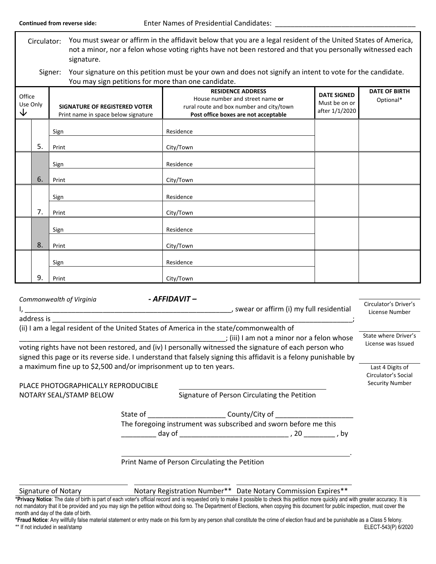Circulator: You must swear or affirm in the affidavit below that you are a legal resident of the United States of America, not a minor, nor a felon whose voting rights have not been restored and that you personally witnessed each signature.

Signer: Your signature on this petition must be your own and does not signify an intent to vote for the candidate. You may sign petitions for more than one candidate.

| Office<br>Use Only<br>↓ |    | <u>-</u><br>SIGNATURE OF REGISTERED VOTER<br>Print name in space below signature | <b>RESIDENCE ADDRESS</b><br>House number and street name or<br>rural route and box number and city/town<br>Post office boxes are not acceptable | <b>DATE SIGNED</b><br>Must be on or<br>after 1/1/2020 | <b>DATE OF BIRTH</b><br>Optional* |
|-------------------------|----|----------------------------------------------------------------------------------|-------------------------------------------------------------------------------------------------------------------------------------------------|-------------------------------------------------------|-----------------------------------|
|                         |    | Sign                                                                             | Residence                                                                                                                                       |                                                       |                                   |
|                         | 5. | Print                                                                            | City/Town                                                                                                                                       |                                                       |                                   |
|                         |    | Sign                                                                             | Residence                                                                                                                                       |                                                       |                                   |
|                         | 6. | Print                                                                            | City/Town                                                                                                                                       |                                                       |                                   |
|                         |    | Sign                                                                             | Residence                                                                                                                                       |                                                       |                                   |
|                         | 7. | Print                                                                            | City/Town                                                                                                                                       |                                                       |                                   |
|                         |    | Sign                                                                             | Residence                                                                                                                                       |                                                       |                                   |
|                         | 8. | Print                                                                            | City/Town                                                                                                                                       |                                                       |                                   |
|                         |    | Sign                                                                             | Residence                                                                                                                                       |                                                       |                                   |
|                         | 9. | Print                                                                            | City/Town                                                                                                                                       |                                                       |                                   |

| Commonwealth of Virginia                                                                                                                                                                                                   | - AFFIDAVIT –                           |                                                                                                                                                                                                                                 |                                         |  |  |
|----------------------------------------------------------------------------------------------------------------------------------------------------------------------------------------------------------------------------|-----------------------------------------|---------------------------------------------------------------------------------------------------------------------------------------------------------------------------------------------------------------------------------|-----------------------------------------|--|--|
|                                                                                                                                                                                                                            |                                         | , swear or affirm (i) my full residential                                                                                                                                                                                       | Circulator's Driver's<br>License Number |  |  |
| address is                                                                                                                                                                                                                 |                                         |                                                                                                                                                                                                                                 |                                         |  |  |
| (ii) I am a legal resident of the United States of America in the state/commonwealth of<br>; (iii) I am not a minor nor a felon whose                                                                                      |                                         |                                                                                                                                                                                                                                 |                                         |  |  |
| voting rights have not been restored, and (iv) I personally witnessed the signature of each person who<br>signed this page or its reverse side. I understand that falsely signing this affidavit is a felony punishable by | License was Issued                      |                                                                                                                                                                                                                                 |                                         |  |  |
| a maximum fine up to \$2,500 and/or imprisonment up to ten years.                                                                                                                                                          | Last 4 Digits of<br>Circulator's Social |                                                                                                                                                                                                                                 |                                         |  |  |
| PLACE PHOTOGRAPHICALLY REPRODUCIBLE                                                                                                                                                                                        |                                         |                                                                                                                                                                                                                                 | <b>Security Number</b>                  |  |  |
| NOTARY SEAL/STAMP BELOW                                                                                                                                                                                                    |                                         | Signature of Person Circulating the Petition                                                                                                                                                                                    |                                         |  |  |
|                                                                                                                                                                                                                            |                                         | State of _____________________________County/City of ___________________________                                                                                                                                                |                                         |  |  |
|                                                                                                                                                                                                                            |                                         | The foregoing instrument was subscribed and sworn before me this                                                                                                                                                                |                                         |  |  |
|                                                                                                                                                                                                                            |                                         | $\log$ day of the contract of the contract of the contract of the contract of the contract of the contract of the contract of the contract of the contract of the contract of the contract of the contract of the contract of t |                                         |  |  |
|                                                                                                                                                                                                                            |                                         |                                                                                                                                                                                                                                 |                                         |  |  |
|                                                                                                                                                                                                                            |                                         | Print Name of Person Circulating the Petition                                                                                                                                                                                   |                                         |  |  |

Signature of Notary **Notary Registration Number\*\*** Date Notary Commission Expires\*\*

**\*Privacy Notice**: The date of birth is part of each voter's official record and is requested only to make it possible to check this petition more quickly and with greater accuracy. It is not mandatory that it be provided and you may sign the petition without doing so. The Department of Elections, when copying this document for public inspection, must cover the month and day of the date of birth.

**\*Fraud Notice**: Any willfully false material statement or entry made on this form by any person shall constitute the crime of election fraud and be punishable as a Class 5 felony. \*\* If not included in seal/stamp